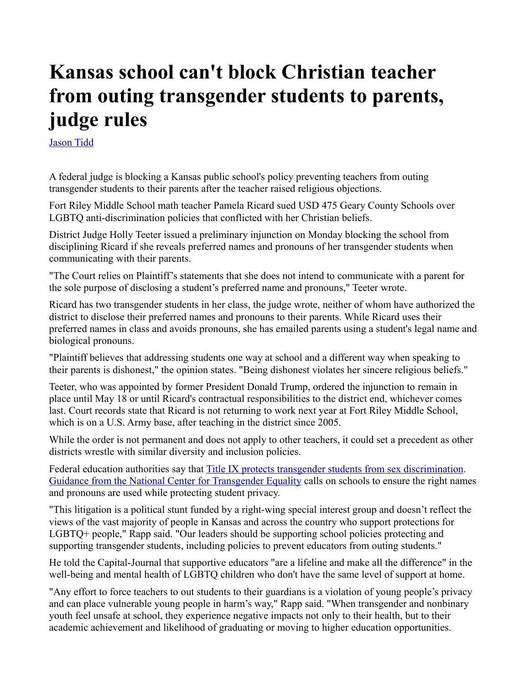## **Kansas school can't block Christian teacher from outing transgender students to parents, judge rules**

[Jason Tidd](https://www.cjonline.com/staff/7939724002/jason-tidd/)

A federal judge is blocking a Kansas public school's policy preventing teachers from outing transgender students to their parents after the teacher raised religious objections.

Fort Riley Middle School math teacher Pamela Ricard sued USD 475 Geary County Schools over LGBTQ anti-discrimination policies that conflicted with her Christian beliefs.

District Judge Holly Teeter issued a preliminary injunction on Monday blocking the school from disciplining Ricard if she reveals preferred names and pronouns of her transgender students when communicating with their parents.

"The Court relies on Plaintiff's statements that she does not intend to communicate with a parent for the sole purpose of disclosing a student's preferred name and pronouns," Teeter wrote.

Ricard has two transgender students in her class, the judge wrote, neither of whom have authorized the district to disclose their preferred names and pronouns to their parents. While Ricard uses their preferred names in class and avoids pronouns, she has emailed parents using a student's legal name and biological pronouns.

"Plaintiff believes that addressing students one way at school and a different way when speaking to their parents is dishonest," the opinion states. "Being dishonest violates her sincere religious beliefs."

Teeter, who was appointed by former President Donald Trump, ordered the injunction to remain in place until May 18 or until Ricard's contractual responsibilities to the district end, whichever comes last. Court records state that Ricard is not returning to work next year at Fort Riley Middle School, which is on a U.S. Army base, after teaching in the district since 2005.

While the order is not permanent and does not apply to other teachers, it could set a precedent as other districts wrestle with similar diversity and inclusion policies.

Federal education authorities say that [Title IX protects transgender students from sex discrimination.](https://www2.ed.gov/about/offices/list/ocr/docs/202106-titleix-noi.pdf) [Guidance from the National Center for Transgender Equality](https://transequality.org/sites/default/files/ED-DCL-Fact-Sheet.pdf) calls on schools to ensure the right names and pronouns are used while protecting student privacy.

"This litigation is a political stunt funded by a right-wing special interest group and doesn't reflect the views of the vast majority of people in Kansas and across the country who support protections for LGBTQ+ people," Rapp said. "Our leaders should be supporting school policies protecting and supporting transgender students, including policies to prevent educators from outing students."

He told the Capital-Journal that supportive educators "are a lifeline and make all the difference" in the well-being and mental health of LGBTQ children who don't have the same level of support at home.

"Any effort to force teachers to out students to their guardians is a violation of young people's privacy and can place vulnerable young people in harm's way," Rapp said. "When transgender and nonbinary youth feel unsafe at school, they experience negative impacts not only to their health, but to their academic achievement and likelihood of graduating or moving to higher education opportunities.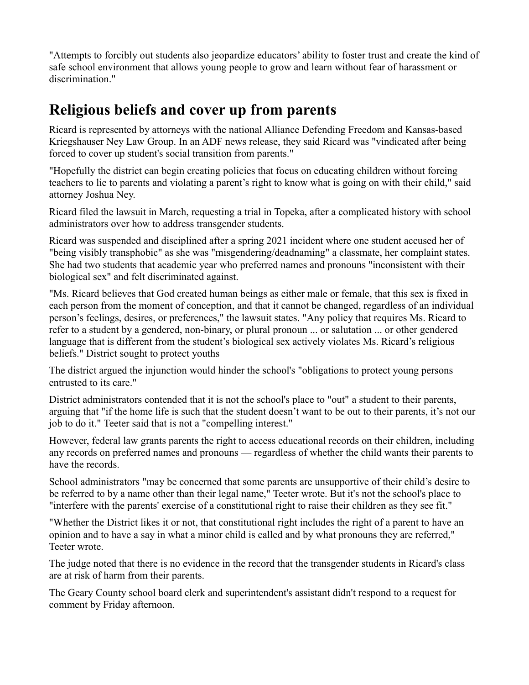"Attempts to forcibly out students also jeopardize educators' ability to foster trust and create the kind of safe school environment that allows young people to grow and learn without fear of harassment or discrimination."

## **Religious beliefs and cover up from parents**

Ricard is represented by attorneys with the national Alliance Defending Freedom and Kansas-based Kriegshauser Ney Law Group. In an ADF news release, they said Ricard was "vindicated after being forced to cover up student's social transition from parents."

"Hopefully the district can begin creating policies that focus on educating children without forcing teachers to lie to parents and violating a parent's right to know what is going on with their child," said attorney Joshua Ney.

Ricard filed the lawsuit in March, requesting a trial in Topeka, after a complicated history with school administrators over how to address transgender students.

Ricard was suspended and disciplined after a spring 2021 incident where one student accused her of "being visibly transphobic" as she was "misgendering/deadnaming" a classmate, her complaint states. She had two students that academic year who preferred names and pronouns "inconsistent with their biological sex" and felt discriminated against.

"Ms. Ricard believes that God created human beings as either male or female, that this sex is fixed in each person from the moment of conception, and that it cannot be changed, regardless of an individual person's feelings, desires, or preferences," the lawsuit states. "Any policy that requires Ms. Ricard to refer to a student by a gendered, non-binary, or plural pronoun ... or salutation ... or other gendered language that is different from the student's biological sex actively violates Ms. Ricard's religious beliefs." District sought to protect youths

The district argued the injunction would hinder the school's "obligations to protect young persons entrusted to its care."

District administrators contended that it is not the school's place to "out" a student to their parents, arguing that "if the home life is such that the student doesn't want to be out to their parents, it's not our job to do it." Teeter said that is not a "compelling interest."

However, federal law grants parents the right to access educational records on their children, including any records on preferred names and pronouns — regardless of whether the child wants their parents to have the records.

School administrators "may be concerned that some parents are unsupportive of their child's desire to be referred to by a name other than their legal name," Teeter wrote. But it's not the school's place to "interfere with the parents' exercise of a constitutional right to raise their children as they see fit."

"Whether the District likes it or not, that constitutional right includes the right of a parent to have an opinion and to have a say in what a minor child is called and by what pronouns they are referred," Teeter wrote.

The judge noted that there is no evidence in the record that the transgender students in Ricard's class are at risk of harm from their parents.

The Geary County school board clerk and superintendent's assistant didn't respond to a request for comment by Friday afternoon.